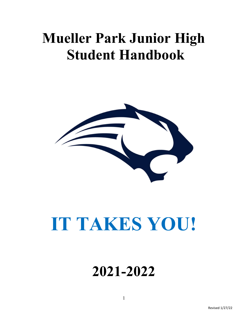### Mueller Park Junior High Student Handbook



## IT TAKES YOU!

### 2021-2022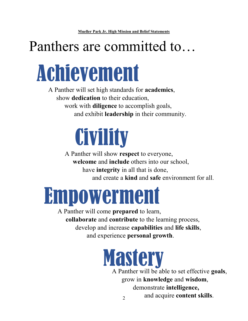### Panthers are committed to…



A Panther will set high standards for academics, show dedication to their education, work with diligence to accomplish goals, and exhibit leadership in their community.

# **Civility**

A Panther will show respect to everyone, welcome and include others into our school, have integrity in all that is done, and create a kind and safe environment for all.

## Empowerment

A Panther will come prepared to learn, collaborate and contribute to the learning process, develop and increase capabilities and life skills, and experience personal growth.

## **Mastery**

2 A Panther will be able to set effective goals, grow in knowledge and wisdom, demonstrate intelligence, and acquire content skills.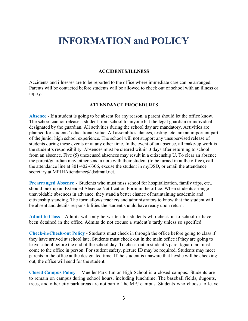### INFORMATION and POLICY

#### ACCIDENTS/ILLNESS

Accidents and illnesses are to be reported to the office where immediate care can be arranged. Parents will be contacted before students will be allowed to check out of school with an illness or injury.

#### ATTENDANCE PROCEDURES

Absence - If a student is going to be absent for any reason, a parent should let the office know. The school cannot release a student from school to anyone but the legal guardian or individual designated by the guardian. All activities during the school day are mandatory. Activities are planned for students' educational value. All assemblies, dances, testing, etc. are an important part of the junior high school experience. The school will not support any unsupervised release of students during these events or at any other time. In the event of an absence, all make-up work is the student's responsibility. Absences must be cleared within 3 days after returning to school from an absence. Five (5) unexcused absences may result in a citizenship U. To clear an absence the parent/guardian may either send a note with their student (to be turned in at the office), call the attendance line at 801-402-6306, excuse the student in myDSD, or email the attendance secretary at MPJHAttendance@dsdmail.net.

Prearranged Absence - Students who must miss school for hospitalization, family trips, etc., should pick up an Extended Absence Notification Form in the office. When students arrange unavoidable absences in advance, they stand a better chance of maintaining academic and citizenship standing. The form allows teachers and administrators to know that the student will be absent and details responsibilities the student should have ready upon return.

Admit to Class - Admits will only be written for students who check in to school or have been detained in the office. Admits do not excuse a student's tardy unless so specified.

Check-in/Check-out Policy - Students must check in through the office before going to class if they have arrived at school late. Students must check out in the main office if they are going to leave school before the end of the school day. To check out, a student's parent/guardian must come to the office in person. For student safety, picture ID may be required. Students may meet parents in the office at the designated time. If the student is unaware that he/she will be checking out, the office will send for the student.

Closed Campus Policy – Mueller Park Junior High School is a closed campus. Students are to remain on campus during school hours, including lunchtime. The baseball fields, dugouts, trees, and other city park areas are not part of the MPJ campus. Students who choose to leave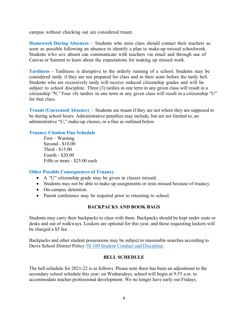campus without checking out are considered truant.

Homework During Absences – Students who miss class should contact their teachers as soon as possible following an absence to identify a plan to make-up missed schoolwork. Students who are absent can communicate with teachers via email and through use of Canvas or Summit to learn about the expectations for making up missed work.

Tardiness - Tardiness is disruptive to the orderly running of a school. Students may be considered tardy if they are not prepared for class and in their seats before the tardy bell. Students who are excessively tardy will receive reduced citizenship grades and will be subject to school discipline. Three (3) tardies in one term in any given class will result in a citizenship "N." Four (4) tardies in one term in any given class will result in a citizenship "U" for that class.

Truant (Unexcused Absence) - Students are truant if they are not where they are supposed to be during school hours. Administrative penalties may include, but are not limited to, an administrative "U," make-up classes, or a fine as outlined below.

#### Truancy Citation Fine Schedule

 First – Warning Second - \$10.00 Third - \$15.00 Fourth - \$20.00 Fifth or more - \$25.00 each

#### Other Possible Consequences of Truancy

- A "U" citizenship grade may be given in classes missed.
- Students may not be able to make up assignments or tests missed because of truancy.
- On-campus detention.
- Parent conference may be required prior to returning to school.

#### BACKPACKS AND BOOK BAGS

Students may carry their backpacks to class with them. Backpacks should be kept under seats or desks and out of walkways. Lockers are optional for this year, and those requesting lockers will be charged a \$5 fee.

Backpacks and other student possessions may be subject to reasonable searches according to Davis School District Policy 5S-100 Student Conduct and Discipline.

#### BELL SCHEDULE

The bell schedule for 2021-22 is as follows. Please note there has been an adjustment to the secondary school schedule this year: on Wednesdays, school will begin at 9:55 a.m. to accommodate teacher professional development. We no longer have early out Fridays.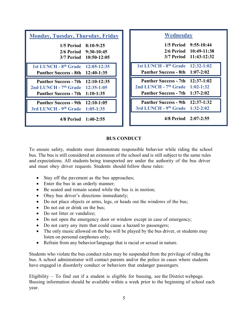| <b>Monday, Tuesday, Thursday, Friday</b>                                                                             |                                                                | Wednesday                                                                                                              |                                                                           |
|----------------------------------------------------------------------------------------------------------------------|----------------------------------------------------------------|------------------------------------------------------------------------------------------------------------------------|---------------------------------------------------------------------------|
| 1/5 Period                                                                                                           | $8:10-9:25$<br>2/6 Period 9:30-10:45<br>3/7 Period 10:50-12:05 |                                                                                                                        | 1/5 Period 9:55-10:44<br>2/6 Period 10:49-11:38<br>3/7 Period 11:43-12:32 |
| 1st LUNCH - 8 <sup>th</sup> Grade 12:05-12:35<br><b>Panther Success - 8th 12:40-1:35</b>                             |                                                                | 1st LUNCH - 8 <sup>th</sup> Grade 12:32-1:02<br>Panther Success - 8th 1:07-2:02                                        |                                                                           |
| Panther Success - 7th 12:10-12:35<br>2nd LUNCH - 7 <sup>th</sup> Grade 12:35-1:05<br>Panther Success - 7th 1:10-1:35 |                                                                | <b>Panther Success - 7th 12:37-1:02</b><br>2nd LUNCH - $7th$ Grade 1:02-1:32<br><b>Panther Success - 7th 1:37-2:02</b> |                                                                           |
| <b>Panther Success - 9th 12:10-1:05</b><br>3rd LUNCH - 9th Grade 1:05-1:35                                           |                                                                | <b>Panther Success - 9th 12:37-1:32</b><br>3rd LUNCH - 9th Grade 1:32-2:02                                             |                                                                           |
| 4/8 Period 1:40-2:55                                                                                                 |                                                                | 4/8 Period 2:07-2:55                                                                                                   |                                                                           |

#### BUS CONDUCT

To ensure safety, students must demonstrate responsible behavior while riding the school bus. The bus is still considered an extension of the school and is still subject to the same rules and expectations. All students being transported are under the authority of the bus driver and must obey driver requests. Students should follow these rules:

- Stay off the pavement as the bus approaches;
- Enter the bus in an orderly manner;
- Be seated and remain seated while the bus is in motion;
- Obey bus driver's directions immediately;
- Do not place objects or arms, legs, or heads out the windows of the bus;
- Do not eat or drink on the bus:
- Do not litter or vandalize:
- Do not open the emergency door or window except in case of emergency;
- Do not carry any item that could cause a hazard to passengers;
- The only music allowed on the bus will be played by the bus driver, or students may listen on personal earphones only;
- Refrain from any behavior/language that is racial or sexual in nature.

Students who violate the bus conduct rules may be suspended from the privilege of riding the bus. A school administrator will contact parents and/or the police in cases where students have engaged in disorderly conduct or behaviors that endanger passengers.

Eligibility – To find out if a student is eligible for bussing, see the District webpage. Bussing information should be available within a week prior to the beginning of school each year.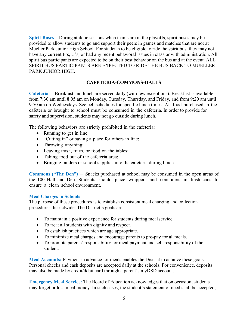Spirit Buses – During athletic seasons when teams are in the playoffs, spirit buses may be provided to allow students to go and support their peers in games and matches that are not at Mueller Park Junior High School. For students to be eligible to ride the spirit bus, they may not have any current F's, U's, or had any recent behavioral issues in class or with administration. All spirit bus participants are expected to be on their best behavior on the bus and at the event. ALL SPIRIT BUS PARTICIPANTS ARE EXPECTED TO RIDE THE BUS BACK TO MUELLER PARK JUNIOR HIGH.

#### CAFETERIA-COMMONS-HALLS

Cafeteria – Breakfast and lunch are served daily (with few exceptions). Breakfast is available from 7:30 am until 8:05 am on Monday, Tuesday, Thursday, and Friday, and from 9:20 am until 9:50 am on Wednesdays. See bell schedules for specific lunch times. All food purchased in the cafeteria or brought to school must be consumed in the cafeteria. In order to provide for safety and supervision, students may not go outside during lunch.

The following behaviors are strictly prohibited in the cafeteria:

- Running to get in line;
- "Cutting in" or saving a place for others in line;
- Throwing anything;
- Leaving trash, trays, or food on the tables;
- Taking food out of the cafeteria area;
- Bringing binders or school supplies into the cafeteria during lunch.

Commons ("The Den") – Snacks purchased at school may be consumed in the open areas of the 100 Hall and Den. Students should place wrappers and containers in trash cans to ensure a clean school environment.

#### Meal Charges in Schools

The purpose of these procedures is to establish consistent meal charging and collection procedures districtwide. The District's goals are:

- To maintain a positive experience for students during meal service.
- To treat all students with dignity and respect.
- To establish practices which are age appropriate.
- To minimize meal charges and encourage parents to pre-pay for all meals.
- To promote parents' responsibility for meal payment and self-responsibility of the student.

Meal Accounts: Payment in advance for meals enables the District to achieve these goals. Personal checks and cash deposits are accepted daily at the schools. For convenience, deposits may also be made by credit/debit card through a parent's myDSD account.

Emergency Meal Service: The Board of Education acknowledges that on occasion, students may forget or lose meal money. In such cases, the student's statement of need shall be accepted,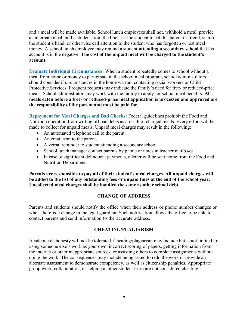and a meal will be made available. School lunch employees shall not, withhold a meal, provide an alternate meal, pull a student from the line, ask the student to call his parent or friend, stamp the student's hand, or otherwise call attention to the student who has forgotten or lost meal money. A school lunch employee may remind a student attending a secondary school that his account is in the negative. The cost of the unpaid meal will be charged to the student's account.

Evaluate Individual Circumstances: When a student repeatedly comes to school without a meal from home or money to participate in the school meal program, school administrators should consider if circumstances in the home warrant contacting social workers or Child Protective Services. Frequent requests may indicate the family's need for free- or reduced-price meals. School administrators may work with the family to apply for school meal benefits. All meals eaten before a free- or reduced-price meal application is processed and approved are the responsibility of the parent and must be paid for.

Repayment for Meal Charges and Bad Checks: Federal guidelines prohibit the Food and Nutrition operation from writing off bad debts as a result of charged meals. Every effort will be made to collect for unpaid meals. Unpaid meal charges may result in the following:

- An automated telephone call to the parent.
- An email sent to the parent.
- A verbal reminder to student attending a secondary school.
- School lunch manager contact parents by phone or notes in teacher mailboxes.
- In case of significant delinquent payments, a letter will be sent home from the Food and Nutrition Department.

Parents are responsible to pay all of their student's meal charges. All unpaid charges will be added to the list of any outstanding fees or unpaid fines at the end of the school year. Uncollected meal charges shall be handled the same as other school debt.

#### CHANGE OF ADDRESS

Parents and students should notify the office when their address or phone number changes or when there is a change in the legal guardian. Such notification allows the office to be able to contact parents and send information to the accurate address.

#### CHEATING/PLAGIARISM

Academic dishonesty will not be tolerated. Cheating/plagiarism may include but is not limited to: using someone else's work as your own, incorrect scoring of papers, getting information from the internet or other inappropriate sources, or assisting others to complete assignments without doing the work. The consequences may include being asked to redo the work or provide an alternate assessment to demonstrate competency, as well as citizenship penalties. Appropriate group work, collaboration, or helping another student learn are not considered cheating.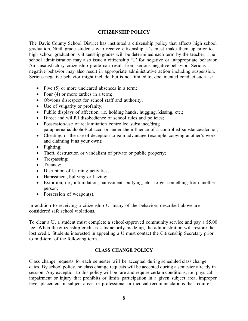#### CITIZENSHIP POLICY

The Davis County School District has instituted a citizenship policy that affects high school graduation. Ninth grade students who receive citizenship U's must make them up prior to high school graduation. Citizenship grades will be determined each term by the teacher. The school administration may also issue a citizenship 'U' for negative or inappropriate behavior. An unsatisfactory citizenship grade can result from serious negative behavior. Serious negative behavior may also result in appropriate administrative action including suspension. Serious negative behavior might include, but is not limited to, documented conduct such as:

- Five (5) or more uncleared absences in a term;
- Four (4) or more tardies in a term;
- Obvious disrespect for school staff and authority;
- Use of vulgarity or profanity;
- Public displays of affection, i.e. holding hands, hugging, kissing, etc.;
- Direct and willful disobedience of school rules and policies;
- Possession/use of real/imitation controlled substance/drug paraphernalia/alcohol/tobacco or under the influence of a controlled substance/alcohol;
- Cheating, or the use of deception to gain advantage (example: copying another's work and claiming it as your own);
- Fighting;
- Theft, destruction or vandalism of private or public property;
- Trespassing;
- Truancy;
- Disruption of learning activities;
- Harassment, bullying or hazing;
- Extortion, i.e., intimidation, harassment, bullying, etc., to get something from another person;
- Possession of weapon(s).

In addition to receiving a citizenship U, many of the behaviors described above are considered safe school violations.

To clear a U, a student must complete a school-approved community service and pay a \$5.00 fee. When the citizenship credit is satisfactorily made up, the administration will restore the lost credit. Students interested in appealing a U must contact the Citizenship Secretary prior to mid-term of the following term.

#### CLASS CHANGE POLICY

Class change requests for each semester will be accepted during scheduled class change dates. By school policy, no class change requests will be accepted during a semester already in session. Any exception to this policy will be rare and require certain conditions, i.e. physical impairment or injury that prohibits or limits participation in a given subject area, improper level placement in subject areas, or professional or medical recommendations that require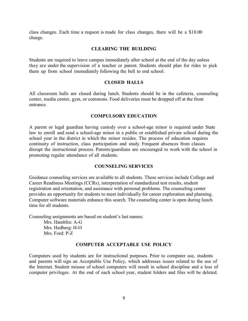class changes. Each time a request is made for class changes, there will be a \$10.00 charge.

#### CLEARING THE BUILDING

Students are required to leave campus immediately after school at the end of the day unless they are under the supervision of a teacher or parent. Students should plan for rides to pick them up from school immediately following the bell to end school.

#### CLOSED HALLS

All classroom halls are closed during lunch. Students should be in the cafeteria, counseling center, media center, gym, or commons. Food deliveries must be dropped off at the front entrance.

#### COMPULSORY EDUCATION

A parent or legal guardian having custody over a school-age minor is required under State law to enroll and send a school-age minor in a public or established private school during the school year in the district in which the minor resides. The process of education requires continuity of instruction, class participation and study. Frequent absences from classes disrupt the instructional process. Parents/guardians are encouraged to work with the school in promoting regular attendance of all students.

#### COUNSELING SERVICES

Guidance counseling services are available to all students. These services include College and Career Readiness Meetings (CCRs), interpretation of standardized test results, student registration and orientation, and assistance with personal problems. The counseling center provides an opportunity for students to meet individually for career exploration and planning. Computer software materials enhance this search. The counseling center is open during lunch time for all students.

Counseling assignments are based on student's last names:

Mrs. Hamblin: A-G Mrs. Hedberg: H-O Mrs. Ford: P-Z

#### COMPUTER ACCEPTABLE USE POLICY

Computers used by students are for instructional purposes. Prior to computer use, students and parents will sign an Acceptable Use Policy, which addresses issues related to the use of the Internet. Student misuse of school computers will result in school discipline and a loss of computer privileges. At the end of each school year, student folders and files will be deleted.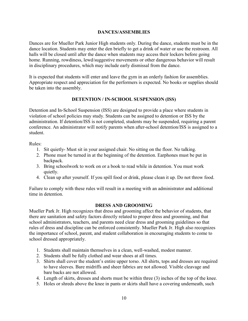#### DANCES/ASSEMBLIES

Dances are for Mueller Park Junior High students only. During the dance, students must be in the dance location. Students may enter the den briefly to get a drink of water or use the restroom. All halls will be closed until after the dance when students may access their lockers before going home. Running, rowdiness, lewd/suggestive movements or other dangerous behavior will result in disciplinary procedures, which may include early dismissal from the dance.

It is expected that students will enter and leave the gym in an orderly fashion for assemblies. Appropriate respect and appreciation for the performers is expected. No books or supplies should be taken into the assembly.

#### DETENTION / IN-SCHOOL SUSPENSION (ISS)

Detention and In-School Suspension (ISS) are designed to provide a place where students in violation of school policies may study. Students can be assigned to detention or ISS by the administration. If detention/ISS is not completed, students may be suspended, requiring a parent conference. An administrator will notify parents when after-school detention/ISS is assigned to a student.

Rules:

- 1. Sit quietly- Must sit in your assigned chair. No sitting on the floor. No talking.
- 2. Phone must be turned in at the beginning of the detention. Earphones must be put in backpack.
- 3. Bring schoolwork to work on or a book to read while in detention. You must work quietly.
- 4. Clean up after yourself. If you spill food or drink, please clean it up. Do not throw food.

Failure to comply with these rules will result in a meeting with an administrator and additional time in detention.

#### DRESS AND GROOMING

Mueller Park Jr. High recognizes that dress and grooming affect the behavior of students, that there are sanitation and safety factors directly related to proper dress and grooming, and that school administrators, teachers, and parents need clear dress and grooming guidelines so that rules of dress and discipline can be enforced consistently. Mueller Park Jr. High also recognizes the importance of school, parent, and student collaboration in encouraging students to come to school dressed appropriately.

- 1. Students shall maintain themselves in a clean, well-washed, modest manner.
- 2. Students shall be fully clothed and wear shoes at all times.
- 3. Shirts shall cover the student's entire upper torso. All shirts, tops and dresses are required to have sleeves. Bare midriffs and sheer fabrics are not allowed. Visible cleavage and bare backs are not allowed.
- 4. Length of skirts, dresses and shorts must be within three (3) inches of the top of the knee.
- 5. Holes or shreds above the knee in pants or skirts shall have a covering underneath, such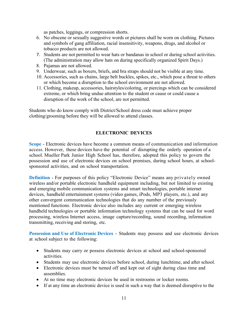as patches, leggings, or compression shorts.

- 6. No obscene or sexually suggestive words or pictures shall be worn on clothing. Pictures and symbols of gang affiliation, racial insensitivity, weapons, drugs, and alcohol or tobacco products are not allowed.
- 7. Students are not permitted to wear hats or bandanas in school or during school activities. (The administration may allow hats on during specifically organized Spirit Days.)
- 8. Pajamas are not allowed.
- 9. Underwear, such as boxers, briefs, and bra straps should not be visible at any time.
- 10. Accessories, such as chains, large belt buckles, spikes, etc., which pose a threat to others or which become a disruption to the school environment are not allowed.
- 11. Clothing, makeup, accessories, hairstyles/coloring, or piercings which can be considered extreme, or which bring undue attention to the student or cause or could cause a disruption of the work of the school, are not permitted.

Students who do know comply with District/School dress code must achieve proper clothing/grooming before they will be allowed to attend classes.

#### ELECTRONIC DEVICES

Scope - Electronic devices have become a common means of communication and information access. However, these devices have the potential of disrupting the orderly operation of a school. Mueller Park Junior High School has, therefore, adopted this policy to govern the possession and use of electronic devices on school premises, during school hours, at schoolsponsored activities, and on school transportation.

Definition - For purposes of this policy "Electronic Device" means any privately owned wireless and/or portable electronic handheld equipment including, but not limited to existing and emerging mobile communication systems and smart technologies, portable internet devices, handheld entertainment systems (video games, iPods, MP3 players, etc.), and any other convergent communication technologies that do any number of the previously mentioned functions. Electronic device also includes any current or emerging wireless handheld technologies or portable information technology systems that can be used for word processing, wireless Internet access, image capture/recording, sound recording, information transmitting, receiving and storing, etc.

Possession and Use of Electronic Devices - Students may possess and use electronic devices at school subject to the following:

- Students may carry or possess electronic devices at school and school-sponsored activities.
- Students may use electronic devices before school, during lunchtime, and after school.
- Electronic devices must be turned off and kept out of sight during class time and assemblies.
- At no time may electronic devices be used in restrooms or locker rooms.
- If at any time an electronic device is used in such a way that is deemed disruptive to the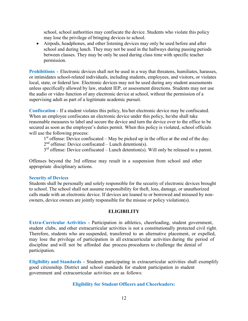school, school authorities may confiscate the device. Students who violate this policy may lose the privilege of bringing devices to school.

 Airpods, headphones, and other listening devices may only be used before and after school and during lunch. They may not be used in the hallways during passing periods between classes. They may be only be used during class time with specific teacher permission.

Prohibitions - Electronic devices shall not be used in a way that threatens, humiliates, harasses, or intimidates school-related individuals, including students, employees, and visitors, or violates local, state, or federal law. Electronic devices may not be used during any student assessments unless specifically allowed by law, student IEP, or assessment directions. Students may not use the audio or video function of any electronic device at school, without the permission of a supervising adult as part of a legitimate academic pursuit.

Confiscation - If a student violates this policy, his/her electronic device may be confiscated. When an employee confiscates an electronic device under this policy, he/she shall take reasonable measures to label and secure the device and turn the device over to the office to be secured as soon as the employee's duties permit. When this policy is violated, school officials will use the following process:

 $1<sup>st</sup>$  offense: Device confiscated – May be picked up in the office at the end of the day.

 $2<sup>nd</sup>$  offense: Device confiscated – Lunch detention(s).

 $3<sup>rd</sup>$  offense: Device confiscated – Lunch detention(s). Will only be released to a parent.

Offenses beyond the 3rd offense may result in a suspension from school and other appropriate disciplinary actions.

#### Security of Devices

Students shall be personally and solely responsible for the security of electronic devices brought to school. The school shall not assume responsibility for theft, loss, damage, or unauthorized calls made with an electronic device. If devices are loaned to or borrowed and misused by nonowners, device owners are jointly responsible for the misuse or policy violation(s).

#### **ELIGIBILITY**

Extra-Curricular Activities - Participation in athletics, cheerleading, student government, student clubs, and other extracurricular activities is not a constitutionally protected civil right. Therefore, students who are suspended, transferred to an alternative placement, or expelled, may lose the privilege of participation in all extracurricular activities during the period of discipline and will not be afforded due process procedures to challenge the denial of participation.

Eligibility and Standards - Students participating in extracurricular activities shall exemplify good citizenship. District and school standards for student participation in student government and extracurricular activities are as follows:

#### Eligibility for Student Officers and Cheerleaders: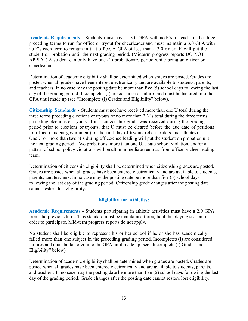Academic Requirements - Students must have a 3.0 GPA with no F's for each of the three preceding terms to run for office or tryout for cheerleader and must maintain a 3.0 GPA with no F's each term to remain in that office. A GPA of less than a 3.0 or an F will put the student on probation until the next grading period. (Midterm progress reports DO NOT APPLY.) A student can only have one (1) probationary period while being an officer or cheerleader.

Determination of academic eligibility shall be determined when grades are posted. Grades are posted when all grades have been entered electronically and are available to students, parents, and teachers. In no case may the posting date be more than five (5) school days following the last day of the grading period. Incompletes (I) are considered failures and must be factored into the GPA until made up (see "Incomplete (I) Grades and Eligibility" below).

Citizenship Standards - Students must not have received more than one U total during the three terms preceding elections or tryouts or no more than 2 N's total during the three terms preceding elections or tryouts. If a U citizenship grade was received during the grading period prior to elections or tryouts, that U must be cleared before the due date of petitions for office (student government) or the first day of tryouts (cheerleaders and athletes). One U or more than two N's during office/cheerleading will put the student on probation until the next grading period. Two probations, more than one U, a safe school violation, and/or a pattern of school policy violations will result in immediate removal from office or cheerleading team.

Determination of citizenship eligibility shall be determined when citizenship grades are posted. Grades are posted when all grades have been entered electronically and are available to students, parents, and teachers. In no case may the posting date be more than five (5) school days following the last day of the grading period. Citizenship grade changes after the posting date cannot restore lost eligibility.

#### Eligibility for Athletics:

Academic Requirements - Students participating in athletic activities must have a 2.0 GPA from the previous term. This standard must be maintained throughout the playing season in order to participate. Mid-term progress reports do not apply.

No student shall be eligible to represent his or her school if he or she has academically failed more than one subject in the preceding grading period. Incompletes (I) are considered failures and must be factored into the GPA until made up (see "Incomplete (I) Grades and Eligibility" below).

Determination of academic eligibility shall be determined when grades are posted. Grades are posted when all grades have been entered electronically and are available to students, parents, and teachers. In no case may the posting date be more than five (5) school days following the last day of the grading period. Grade changes after the posting date cannot restore lost eligibility.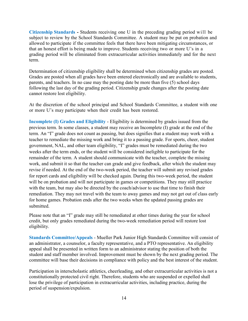Citizenship Standards - Students receiving one U in the preceding grading period will be subject to review by the School Standards Committee. A student may be put on probation and allowed to participate if the committee feels that there have been mitigating circumstances, or that an honest effort is being made to improve. Students receiving two or more U's in a grading period will be eliminated from extracurricular activities immediately and for the next term.

Determination of citizenship eligibility shall be determined when citizenship grades are posted. Grades are posted when all grades have been entered electronically and are available to students, parents, and teachers. In no case may the posting date be more than five (5) school days following the last day of the grading period. Citizenship grade changes after the posting date cannot restore lost eligibility.

At the discretion of the school principal and School Standards Committee, a student with one or more U's may participate when their credit has been restored.

Incomplete (I) Grades and Eligibility - Eligibility is determined by grades issued from the previous term. In some classes, a student may receive an Incomplete (I) grade at the end of the term. An "I" grade does not count as passing, but does signifies that a student may work with a teacher to remediate the missing work and bring it to a passing grade. For sports, cheer, student government, NAL, and other team eligibility, "I" grades must be remediated during the two weeks after the term ends, or the student will be considered ineligible to participate for the remainder of the term. A student should communicate with the teacher, complete the missing work, and submit it so that the teacher can grade and give feedback, after which the student may revise if needed. At the end of the two-week period, the teacher will submit any revised grades for report cards and eligibility will be checked again. During this two-week period, the student will be on probation and will not participate in games or competitions. They may still practice with the team, but may also be directed by the coach/advisor to use that time to finish their remediation. They may not travel with the team to away games and may not get out of class early for home games. Probation ends after the two weeks when the updated passing grades are submitted.

Please note that an "I" grade may still be remediated at other times during the year for school credit, but only grades remediated during the two-week remediation period will restore lost eligibility.

Standards Committee/Appeals - Mueller Park Junior High Standards Committee will consist of an administrator, a counselor, a faculty representative, and a PTO representative. An eligibility appeal shall be presented in written form to an administrator stating the position of both the student and staff member involved. Improvement must be shown by the next grading period. The committee will base their decisions in compliance with policy and the best interest of the student.

Participation in interscholastic athletics, cheerleading, and other extracurricular activities is not a constitutionally protected civil right. Therefore, students who are suspended or expelled shall lose the privilege of participation in extracurricular activities, including practice, during the period of suspension/expulsion.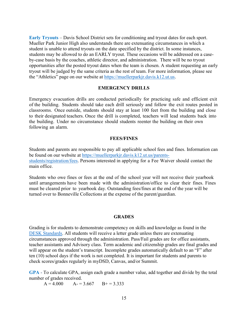Early Tryouts – Davis School District sets for conditioning and tryout dates for each sport. Mueller Park Junior High also understands there are extenuating circumstances in which a student is unable to attend tryouts on the date specified by the district. In some instances, students may be allowed to do an EARLY tryout. These occasions will be addressed on a caseby-case basis by the coaches, athletic director, and administration. There will be no tryout opportunities after the posted tryout dates when the team is chosen. A student requesting an early tryout will be judged by the same criteria as the rest of team. For more information, please see the "Athletics" page on our website at https://muellerparkjr.davis.k12.ut.us.

#### EMERGENCY DRILLS

Emergency evacuation drills are conducted periodically for practicing safe and efficient exit of the building. Students should take each drill seriously and follow the exit routes posted in classrooms. Once outside, students should stay at least 100 feet from the building and close to their designated teachers. Once the drill is completed, teachers will lead students back into the building. Under no circumstance should students reenter the building on their own following an alarm.

#### FEES/FINES

Students and parents are responsible to pay all applicable school fees and fines. Information can be found on our website at https://muellerparkjr.davis.k12.ut.us/parentsstudents/registration/fees. Persons interested in applying for a Fee Waiver should contact the main office.

Students who owe fines or fees at the end of the school year will not receive their yearbook until arrangements have been made with the administration/office to clear their fines. Fines must be cleared prior to yearbook day. Outstanding fees/fines at the end of the year will be turned over to Bonneville Collections at the expense of the parent/guardian.

#### **GRADES**

Grading is for students to demonstrate competency on skills and knowledge as found in the DESK Standards. All students will receive a letter grade unless there are extenuating circumstances approved through the administration. Pass/Fail grades are for office assistants, teacher assistants and Advisory class. Term academic and citizenship grades are final grades and will appear on the student's transcript. Incomplete grades automatically default to an "F" after ten (10) school days if the work is not completed. It is important for students and parents to check scores/grades regularly in myDSD, Canvas, and/or Summit.

GPA - To calculate GPA, assign each grade a number value, add together and divide by the total number of grades received.

 $A = 4.000$   $A = 3.667$   $B = 3.333$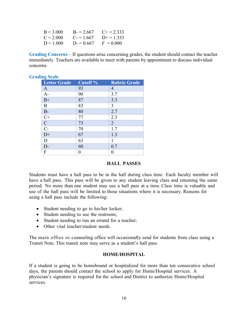| $B = 3.000$ | $B = 2.667$ | $C_{\pm} = 2.333$ |
|-------------|-------------|-------------------|
| $C = 2.000$ | $C = 1.667$ | $D+=1.333$        |
| $D = 1.000$ | $D = 0.667$ | $F = 0.000$       |

Grading Concerns – If questions arise concerning grades, the student should contact the teacher immediately. Teachers are available to meet with parents by appointment to discuss individual concerns.

| ing Scale                           |                     |                     |
|-------------------------------------|---------------------|---------------------|
| <b>Letter Grade</b>                 | Cutoff <sup>%</sup> | <b>Rubric Grade</b> |
| $\mathbf{A}$                        | 93                  | 4                   |
| $A-$                                | 90                  | 3.7                 |
| $B+$                                | 87                  | 3.3                 |
| B                                   | 83                  | 3                   |
| $B-$                                | 80                  | 2.7                 |
| $\overline{C+}$                     | 77                  | 2.3                 |
| $\frac{\overline{C}}{\overline{C}}$ | 73                  | $\overline{2}$      |
|                                     | 70                  | 1.7                 |
| $D+$                                | 67                  | 1.3                 |
| D                                   | 63                  | 1                   |
| $D-$                                | 60                  | 0.7                 |
| F                                   | 0                   |                     |

#### **Grading Scale**

#### HALL PASSES

Students must have a hall pass to be in the hall during class time. Each faculty member will have a hall pass. This pass will be given to any student leaving class and returning the same period. No more than one student may use a hall pass at a time. Class time is valuable and use of the hall pass will be limited to those situations where it is necessary. Reasons for using a hall pass include the following:

- Student needing to go to his/her locker;
- Student needing to use the restroom;
- Student needing to run an errand for a teacher;
- Other vital teacher/student needs.

The main office or counseling office will occasionally send for students from class using a Transit Note. This transit note may serve as a student's hall pass.

#### HOME/HOSPITAL

If a student is going to be homebound or hospitalized for more than ten consecutive school days, the parents should contact the school to apply for Home/Hospital services. A physician's signature is required for the school and District to authorize Home/Hospital services.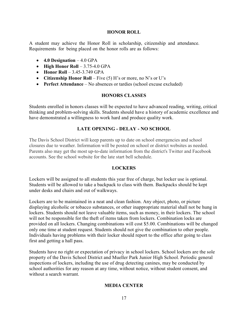#### HONOR ROLL

A student may achieve the Honor Roll in scholarship, citizenship and attendance. Requirements for being placed on the honor rolls are as follows:

- $\bullet$  4.0 Designation  $-4.0$  GPA
- $\bullet$  High Honor Roll 3.75-4.0 GPA
- $\bullet$  Honor Roll 3.45-3.749 GPA
- Citizenship Honor Roll Five  $(5)$  H's or more, no N's or U's
- Perfect Attendance No absences or tardies (school excuse excluded)

#### HONORS CLASSES

Students enrolled in honors classes will be expected to have advanced reading, writing, critical thinking and problem-solving skills. Students should have a history of academic excellence and have demonstrated a willingness to work hard and produce quality work.

#### LATE OPENING - DELAY - NO SCHOOL

The Davis School District will keep parents up to date on school emergencies and school closures due to weather. Information will be posted on school or district websites as needed. Parents also may get the most up-to-date information from the district's Twitter and Facebook accounts. See the school website for the late start bell schedule.

#### LOCKERS

Lockers will be assigned to all students this year free of charge, but locker use is optional. Students will be allowed to take a backpack to class with them. Backpacks should be kept under desks and chairs and out of walkways.

Lockers are to be maintained in a neat and clean fashion. Any object, photo, or picture displaying alcoholic or tobacco substances, or other inappropriate material shall not be hung in lockers. Students should not leave valuable items, such as money, in their lockers. The school will not be responsible for the theft of items taken from lockers. Combination locks are provided on all lockers. Changing combinations will cost \$5.00. Combinations will be changed only one time at student request. Students should not give the combination to other people. Individuals having problems with their locker should report to the office after going to class first and getting a hall pass.

Students have no right or expectation of privacy in school lockers. School lockers are the sole property of the Davis School District and Mueller Park Junior High School. Periodic general inspections of lockers, including the use of drug detecting canines, may be conducted by school authorities for any reason at any time, without notice, without student consent, and without a search warrant.

#### MEDIA CENTER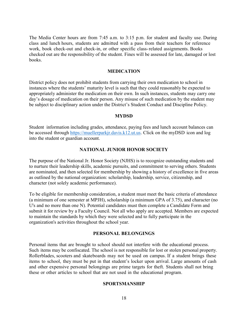The Media Center hours are from 7:45 a.m. to 3:15 p.m. for student and faculty use. During class and lunch hours, students are admitted with a pass from their teachers for reference work, book check-out and check-in, or other specific class-related assignments. Books checked out are the responsibility of the student. Fines will be assessed for late, damaged or lost books.

#### MEDICATION

District policy does not prohibit students from carrying their own medication to school in instances where the students' maturity level is such that they could reasonably be expected to appropriately administer the medication on their own. In such instances, students may carry one day's dosage of medication on their person. Any misuse of such medication by the student may be subject to disciplinary action under the District's Student Conduct and Discipline Policy.

#### MYDSD

Student information including grades, attendance, paying fees and lunch account balances can be accessed through https://muellerparkjr.davis.k12.ut.us. Click on the myDSD icon and log into the student or guardian account.

#### NATIONAL JUNIOR HONOR SOCIETY

The purpose of the National Jr. Honor Society (NJHS) is to recognize outstanding students and to nurture their leadership skills, academic pursuits, and commitment to serving others. Students are nominated, and then selected for membership by showing a history of excellence in five areas as outlined by the national organization: scholarship, leadership, service, citizenship, and character (not solely academic performance).

To be eligible for membership consideration, a student must meet the basic criteria of attendance (a minimum of one semester at MPJH), scholarship (a minimum GPA of 3.75), and character (no U's and no more than one N). Potential candidates must then complete a Candidate Form and submit it for review by a Faculty Council. Not all who apply are accepted. Members are expected to maintain the standards by which they were selected and to fully participate in the organization's activities throughout the school year.

#### PERSONAL BELONGINGS

Personal items that are brought to school should not interfere with the educational process. Such items may be confiscated. The school is not responsible for lost or stolen personal property. Rollerblades, scooters and skateboards may not be used on campus. If a student brings these items to school, they must be put in that student's locker upon arrival. Large amounts of cash and other expensive personal belongings are prime targets for theft. Students shall not bring these or other articles to school that are not used in the educational program.

#### SPORTSMANSHIP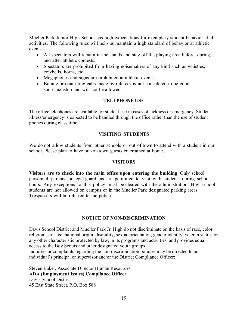Mueller Park Junior High School has high expectations for exemplary student behavior at all activities. The following rules will help us maintain a high standard of behavior at athletic events.

- All spectators will remain in the stands and stay off the playing area before, during, and after athletic contests.
- Spectators are prohibited from having noisemakers of any kind such as whistles, cowbells, horns, etc.
- Megaphones and signs are prohibited at athletic events.
- Booing or contesting calls made by referees is not considered to be good sportsmanship and will not be allowed.

#### TELEPHONE USE

The office telephones are available for student use in cases of sickness or emergency. Student illness/emergency is expected to be handled through the office rather than the use of student phones during class time.

#### VISITING STUDENTS

We do not allow students from other schools or out of town to attend with a student in our school. Please plan to have out-of-town guests entertained at home.

#### VISITORS

Visitors are to check into the main office upon entering the building. Only school personnel, parents, or legal guardians are permitted to visit with students during school hours. Any exceptions to this policy must be cleared with the administration. High school students are not allowed on campus or in the Mueller Park designated parking areas. Trespassers will be referred to the police.

#### NOTICE OF NON-DISCRIMINATION

Davis School District and Mueller Park Jr. High do not discriminate on the basis of race, color, religion, sex, age, national origin, disability, sexual orientation, gender identity, veteran status, or any other characteristic protected by law, in its programs and activities, and provides equal access to the Boy Scouts and other designated youth groups.

Inquiries or complaints regarding the non-discrimination policies may be directed to an individual's principal or supervisor and/or the District Compliance Officer:

Steven Baker, Associate Director Human Resources ADA (Employment Issues) Compliance Officer Davis School District 45 East State Street, P.O. Box 588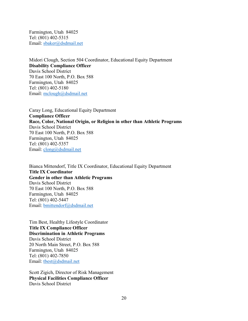Farmington, Utah 84025 Tel: (801) 402-5315 Email: sbaker@dsdmail.net

Midori Clough, Section 504 Coordinator, Educational Equity Department Disability Compliance Officer Davis School District 70 East 100 North, P.O. Box 588 Farmington, Utah 84025 Tel: (801) 402-5180 Email: mclough@dsdmail.net

Caray Long, Educational Equity Department Compliance Officer Race, Color, National Origin, or Religion in other than Athletic Programs Davis School District 70 East 100 North, P.O. Box 588 Farmington, Utah 84025 Tel: (801) 402-5357 Email: clong@dsdmail.net

Bianca Mittendorf, Title IX Coordinator, Educational Equity Department Title IX Coordinator Gender in other than Athletic Programs Davis School District 70 East 100 North, P.O. Box 588 Farmington, Utah 84025 Tel: (801) 402-5447 Email: bmittendorf@dsdmail.net

Tim Best, Healthy Lifestyle Coordinator Title IX Compliance Officer Discrimination in Athletic Programs Davis School District 20 North Main Street, P.O. Box 588 Farmington, Utah 84025 Tel: (801) 402-7850 Email: tbest@dsdmail.net

Scott Zigich, Director of Risk Management Physical Facilities Compliance Officer Davis School District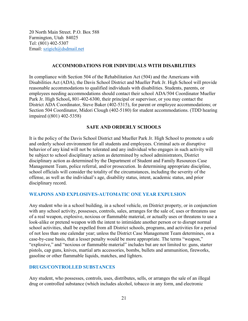20 North Main Street. P.O. Box 588 Farmington, Utah 84025 Tel: (801) 402-5307 Email: szigich@dsdmail.net

#### ACCOMMODATIONS FOR INDIVIDUALS WITH DISABILITIES

In compliance with Section 504 of the Rehabilitation Act (504) and the Americans with Disabilities Act (ADA), the Davis School District and Mueller Park Jr. High School will provide reasonable accommodations to qualified individuals with disabilities. Students, parents, or employees needing accommodations should contact their school ADA/504 Coordinator Mueller Park Jr. High School, 801-402-6300, their principal or supervisor, or you may contact the District ADA Coordinator, Steve Baker (402-5315), for parent or employee accommodations; or Section 504 Coordinator, Midori Clough (402-5180) for student accommodations. (TDD hearing impaired ((801) 402-5358)

#### SAFE AND ORDERLY SCHOOLS

It is the policy of the Davis School District and Mueller Park Jr. High School to promote a safe and orderly school environment for all students and employees. Criminal acts or disruptive behavior of any kind will not be tolerated and any individual who engages in such activity will be subject to school disciplinary action as determined by school administrators, District disciplinary action as determined by the Department of Student and Family Resources Case Management Team, police referral, and/or prosecution. In determining appropriate discipline, school officials will consider the totality of the circumstances, including the severity of the offense, as well as the individual's age, disability status, intent, academic status, and prior disciplinary record.

#### WEAPONS AND EXPLOSIVES-AUTOMATIC ONE YEAR EXPULSION

Any student who in a school building, in a school vehicle, on District property, or in conjunction with any school activity, possesses, controls, sales, arranges for the sale of, uses or threatens use of a real weapon, explosive, noxious or flammable material, or actually uses or threatens to use a look-alike or pretend weapon with the intent to intimidate another person or to disrupt normal school activities, shall be expelled from all District schools, programs, and activities for a period of not less than one calendar year; unless the District Case Management Team determines, on a case-by-case basis, that a lesser penalty would be more appropriate. The terms "weapon," "explosive," and "noxious or flammable material" includes but are not limited to: guns, starter pistols, cap guns, knives, martial arts accessories, bombs, bullets and ammunition, fireworks, gasoline or other flammable liquids, matches, and lighters.

#### DRUGS/CONTROLLED SUBSTANCES

Any student, who possesses, controls, uses, distributes, sells, or arranges the sale of an illegal drug or controlled substance (which includes alcohol, tobacco in any form, and electronic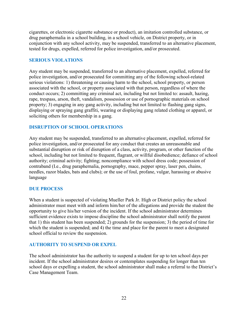cigarettes, or electronic cigarette substance or product), an imitation controlled substance, or drug paraphernalia in a school building, in a school vehicle, on District property, or in conjunction with any school activity, may be suspended, transferred to an alternative placement, tested for drugs, expelled, referred for police investigation, and/or prosecuted.

#### SERIOUS VIOLATIONS

Any student may be suspended, transferred to an alternative placement, expelled, referred for police investigation, and/or prosecuted for committing any of the following school-related serious violations: 1) threatening or causing harm to the school, school property, or person associated with the school, or property associated with that person, regardless of where the conduct occurs; 2) committing any criminal act, including but not limited to: assault, hazing, rape, trespass, arson, theft, vandalism, possession or use of pornographic materials on school property; 3) engaging in any gang activity, including but not limited to flashing gang signs, displaying or spraying gang graffiti, wearing or displaying gang related clothing or apparel, or soliciting others for membership in a gang.

#### DISRUPTION OF SCHOOL OPERATIONS

Any student may be suspended, transferred to an alternative placement, expelled, referred for police investigation, and/or prosecuted for any conduct that creates an unreasonable and substantial disruption or risk of disruption of a class, activity, program, or other function of the school, including but not limited to frequent, flagrant, or willful disobedience; defiance of school authority; criminal activity; fighting; noncompliance with school dress code; possession of contraband (I.e., drug paraphernalia, pornography, mace, pepper spray, laser pen, chains, needles, razor blades, bats and clubs); or the use of foul, profane, vulgar, harassing or abusive language

#### DUE PROCESS

When a student is suspected of violating Mueller Park Jr. High or District policy the school administrator must meet with and inform him/her of the allegations and provide the student the opportunity to give his/her version of the incident. If the school administrator determines sufficient evidence exists to impose discipline the school administrator shall notify the parent that 1) this student has been suspended; 2) grounds for the suspension; 3) the period of time for which the student is suspended; and 4) the time and place for the parent to meet a designated school official to review the suspension.

#### AUTHORITY TO SUSPEND OR EXPEL

The school administrator has the authority to suspend a student for up to ten school days per incident. If the school administrator desires or contemplates suspending for longer than ten school days or expelling a student, the school administrator shall make a referral to the District's Case Management Team.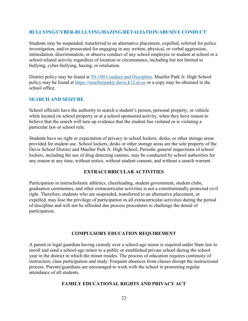#### BULLYING/CYBER-BULLYING/HAZING/RETALIATION/ABUSIVE CONDUCT

Students may be suspended, transferred to an alternative placement, expelled, referred for police investigation, and/or prosecuted for engaging in any written, physical, or verbal aggression, intimidation, discrimination, or abusive conduct of any school employee or student at school or a school-related activity regardless of location or circumstance, including but not limited to bullying, cyber-bullying, hazing, or retaliation.

District policy may be found at 5S-100 Conduct and Discipline. Mueller Park Jr. High School policy may be found at https://muellerparkjr.davis.k12.ut.us or a copy may be obtained in the school office.

#### SEARCH AND SEIZURE

School officials have the authority to search a student's person, personal property, or vehicle while located on school property or at a school sponsored activity, when they have reason to believe that the search will turn up evidence that the student has violated or is violating a particular law or school rule.

Students have no right or expectation of privacy in school lockers, desks, or other storage areas provided for student use. School lockers, desks or other storage areas are the sole property of the Davis School District and Mueller Park Jr. High School. Periodic general inspections of school lockers, including the use of drug detecting canines, may be conducted by school authorities for any reason at any time, without notice, without student consent, and without a search warrant.

#### EXTRACURRICULAR ACTIVITIES

Participation in interscholastic athletics, cheerleading, student government, student clubs, graduation ceremonies, and other extracurricular activities is not a constitutionally protected civil right. Therefore, students who are suspended, transferred to an alternative placement, or expelled, may lose the privilege of participation in all extracurricular activities during the period of discipline and will not be afforded due process procedures to challenge the denial of participation.

#### COMPULSORY EDUCATION REQUIREMENT

A parent or legal guardian having custody over a school-age minor is required under State law to enroll and send a school-age minor to a public or established private school during the school year in the district in which the minor resides. The process of education requires continuity of instruction, class participation and study. Frequent absences from classes disrupt the instructional process. Parents/guardians are encouraged to work with the school in promoting regular attendance of all students.

#### FAMILY EDUCATIONAL RIGHTS AND PRIVACY ACT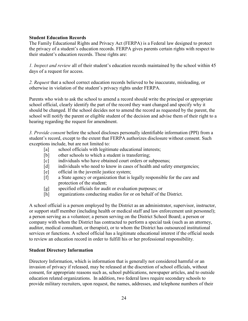#### Student Education Records

The Family Educational Rights and Privacy Act (FERPA) is a Federal law designed to protect the privacy of a student's education records. FERPA gives parents certain rights with respect to their student's education records. These rights are:

1. Inspect and review all of their student's education records maintained by the school within 45 days of a request for access.

2. Request that a school correct education records believed to be inaccurate, misleading, or otherwise in violation of the student's privacy rights under FERPA.

Parents who wish to ask the school to amend a record should write the principal or appropriate school official, clearly identify the part of the record they want changed and specify why it should be changed. If the school decides not to amend the record as requested by the parent, the school will notify the parent or eligible student of the decision and advise them of their right to a hearing regarding the request for amendment.

3. Provide consent before the school discloses personally identifiable information (PPI) from a student's record, except to the extent that FERPA authorizes disclosure without consent. Such exceptions include, but are not limited to:

- [a] school officials with legitimate educational interests;
- [b] other schools to which a student is transferring;
- [c] individuals who have obtained court orders or subpoenas;
- [d] individuals who need to know in cases of health and safety emergencies;
- [e] official in the juvenile justice system;
- [f] a State agency or organization that is legally responsible for the care and protection of the student;
- [g] specified officials for audit or evaluation purposes; or
- [h] organizations conducting studies for or on behalf of the District.

A school official is a person employed by the District as an administrator, supervisor, instructor, or support staff member (including health or medical staff and law enforcement unit personnel); a person serving as a volunteer; a person serving on the District School Board; a person or company with whom the District has contracted to perform a special task (such as an attorney, auditor, medical consultant, or therapist), or to whom the District has outsourced institutional services or functions. A school official has a legitimate educational interest if the official needs to review an education record in order to fulfill his or her professional responsibility.

#### Student Directory Information

Directory Information, which is information that is generally not considered harmful or an invasion of privacy if released, may be released at the discretion of school officials, without consent, for appropriate reasons such as, school publications, newspaper articles, and to outside education related organizations. In addition, two federal laws require secondary schools to provide military recruiters, upon request, the names, addresses, and telephone numbers of their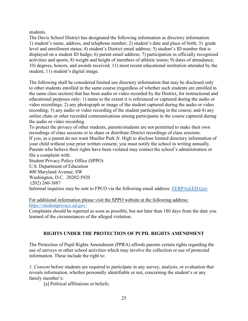students.

The Davis School District has designated the following information as directory information: 1) student's name, address, and telephone number; 2) student's date and place of birth; 3) grade level and enrollment status; 4) student's District email address; 5) student's ID number that is displayed on a student ID badge; 6) parent email address; 7) participation in officially recognized activities and sports; 8) weight and height of members of athletic teams; 9) dates of attendance; 10) degrees, honors, and awards received; 11) most recent educational institution attended by the student; 11) student's digital image.

The following shall be considered limited use directory information that may be disclosed only to other students enrolled in the same course (regardless of whether such students are enrolled in the same class section) that has been audio or video recorded by the District, for instructional and educational purposes only: 1) name to the extent it is referenced or captured during the audio or video recordings; 2) any photograph or image of the student captured during the audio or video recording; 3) any audio or video recording of the student participating in the course; and 4) any online chats or other recorded communications among participants in the course captured during the audio or video recording.

To protect the privacy of other students, parents/students are not permitted to make their own recordings of class sessions or to share or distribute District recordings of class sessions. If you, as a parent do not want Mueller Park Jr. High to disclose limited directory information of your child without your prior written consent, you must notify the school in writing annually. Parents who believe their rights have been violated may contact the school's administration or file a complaint with:

Student Privacy Policy Office (SPPO) U.S. Department of Education 400 Maryland Avenue, SW Washington, D.C. 20202-5920 (202) 260-3887 Informal inquiries may be sent to FPCO via the following email address:  $FERPA@ED.Gov$ 

For additional information please visit the SPPO website at the following address: https://studentprivacy.ed.gov/

Complaints should be reported as soon as possible, but not later than 180 days from the date you learned of the circumstances of the alleged violation.

#### RIGHTS UNDER THE PROTECTION OF PUPIL RIGHTS AMENDMENT

The Protection of Pupil Rights Amendment (PPRA) affords parents certain rights regarding the use of surveys or other school activities which may involve the collection or use of protected information. These include the right to:

1. Consent before students are required to participate in any survey, analysis, or evaluation that reveals information, whether personally identifiable or not, concerning the student's or any family member's:

[a] Political affiliations or beliefs;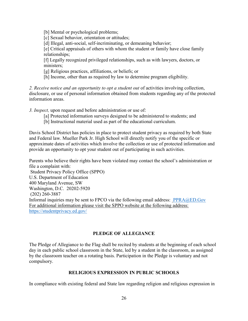[b] Mental or psychological problems;

[c] Sexual behavior, orientation or attitudes;

[d] Illegal, anti-social, self-incriminating, or demeaning behavior;

[e] Critical appraisals of others with whom the student or family have close family relationships;

[f] Legally recognized privileged relationships, such as with lawyers, doctors, or ministers;

[g] Religious practices, affiliations, or beliefs; or

[h] Income, other than as required by law to determine program eligibility.

2. Receive notice and an opportunity to opt a student out of activities involving collection, disclosure, or use of personal information obtained from students regarding any of the protected information areas.

3. Inspect, upon request and before administration or use of:

- [a] Protected information surveys designed to be administered to students; and
- [b] Instructional material used as part of the educational curriculum.

Davis School District has policies in place to protect student privacy as required by both State and Federal law. Mueller Park Jr. High School will directly notify you of the specific or approximate dates of activities which involve the collection or use of protected information and provide an opportunity to opt your student out of participating in such activities.

Parents who believe their rights have been violated may contact the school's administration or file a complaint with: Student Privacy Policy Office (SPPO) U.S. Department of Education 400 Maryland Avenue, SW Washington, D.C. 20202-5920 (202) 260-3887 Informal inquiries may be sent to FPCO via the following email address: PPRA@ED.Gov For additional information please visit the SPPO website at the following address: https://studentprivacy.ed.gov/

#### PLEDGE OF ALLEGIANCE

The Pledge of Allegiance to the Flag shall be recited by students at the beginning of each school day in each public school classroom in the State, led by a student in the classroom, as assigned by the classroom teacher on a rotating basis. Participation in the Pledge is voluntary and not compulsory.

#### RELIGIOUS EXPRESSION IN PUBLIC SCHOOLS

In compliance with existing federal and State law regarding religion and religious expression in